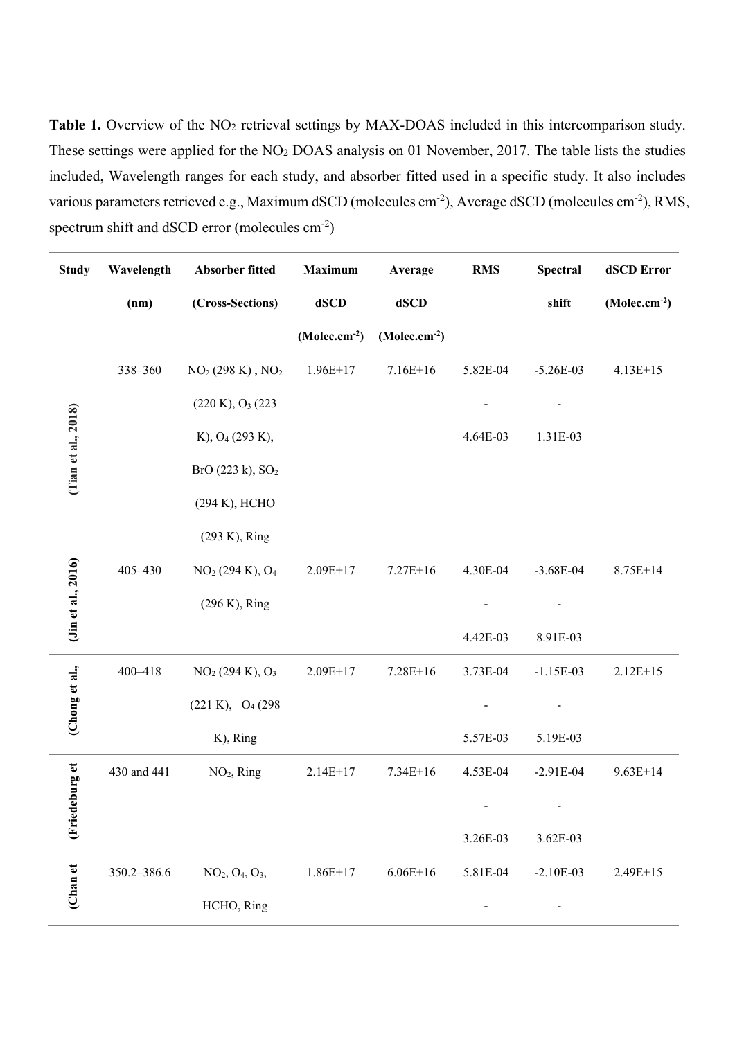Table 1. Overview of the NO<sub>2</sub> retrieval settings by MAX-DOAS included in this intercomparison study. These settings were applied for the NO2 DOAS analysis on 01 November, 2017. The table lists the studies included, Wavelength ranges for each study, and absorber fitted used in a specific study. It also includes various parameters retrieved e.g., Maximum dSCD (molecules cm<sup>-2</sup>), Average dSCD (molecules cm<sup>-2</sup>), RMS, spectrum shift and dSCD error (molecules  $cm<sup>-2</sup>$ )

| <b>Study</b>           | Wavelength  | Absorber fitted                                     | Maximum        | Average        | <b>RMS</b> | <b>Spectral</b> | dSCD Error     |
|------------------------|-------------|-----------------------------------------------------|----------------|----------------|------------|-----------------|----------------|
|                        | (nm)        | (Cross-Sections)                                    | dSCD           | dSCD           |            | shift           | $(Molec.cm-2)$ |
|                        |             |                                                     | $(Molec.cm-2)$ | $(Molec.cm-2)$ |            |                 |                |
|                        | 338-360     | $NO2 (298 K), NO2$                                  | $1.96E+17$     | $7.16E+16$     | 5.82E-04   | $-5.26E-03$     | $4.13E+15$     |
|                        |             | (220 K), O <sub>3</sub> (223)                       |                |                |            |                 |                |
|                        |             | K), O <sub>4</sub> (293 K),                         |                |                | 4.64E-03   | 1.31E-03        |                |
| (Tian et al., $2018$ ) |             | BrO(223 k), SO <sub>2</sub>                         |                |                |            |                 |                |
|                        |             | (294 К), НСНО                                       |                |                |            |                 |                |
|                        |             | (293 K), Ring                                       |                |                |            |                 |                |
|                        | 405-430     | NO <sub>2</sub> (294 K), O <sub>4</sub>             | $2.09E+17$     | $7.27E+16$     | 4.30E-04   | $-3.68E-04$     | $8.75E+14$     |
| (Jin et al., 2016)     |             | $(296 K)$ , Ring                                    |                |                |            |                 |                |
|                        |             |                                                     |                |                | 4.42E-03   | 8.91E-03        |                |
|                        | 400-418     | NO <sub>2</sub> (294 K), O <sub>3</sub>             | $2.09E+17$     | $7.28E+16$     | 3.73E-04   | $-1.15E-03$     | $2.12E+15$     |
| (Chong et al.,         |             | (221 K), O <sub>4</sub> (298)                       |                |                |            |                 |                |
|                        |             | K), Ring                                            |                |                | 5.57E-03   | 5.19E-03        |                |
| (Friedeburg et         | 430 and 441 | $NO2$ , Ring                                        | $2.14E+17$     | $7.34E+16$     | 4.53E-04   | $-2.91E-04$     | $9.63E+14$     |
|                        |             |                                                     |                |                |            |                 |                |
|                        |             |                                                     |                |                | 3.26E-03   | 3.62E-03        |                |
| Chan et                | 350.2-386.6 | NO <sub>2</sub> , O <sub>4</sub> , O <sub>3</sub> , | $1.86E+17$     | $6.06E + 16$   | 5.81E-04   | $-2.10E-03$     | $2.49E+15$     |
|                        |             | HCHO, Ring                                          |                |                |            |                 |                |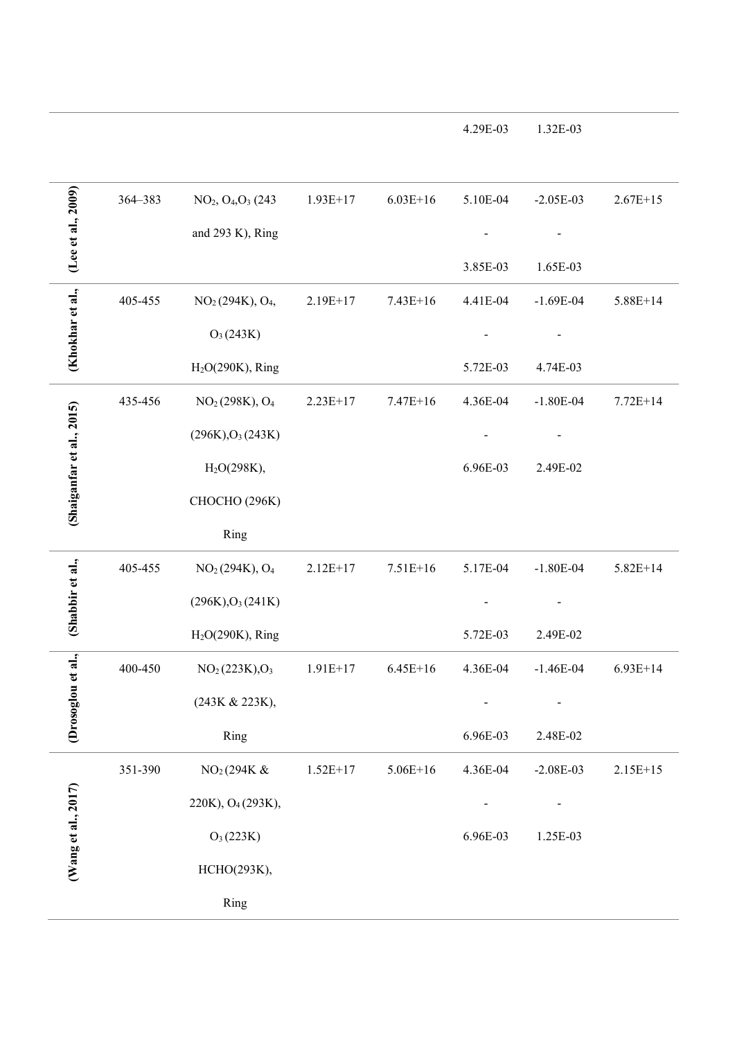|                           | 364-383 | NO <sub>2</sub> , O <sub>4</sub> , O <sub>3</sub> (243) | $1.93E+17$ | $6.03E+16$   | 5.10E-04 | $-2.05E-03$ | $2.67E+15$ |
|---------------------------|---------|---------------------------------------------------------|------------|--------------|----------|-------------|------------|
| (Lee et al., 2009)        |         | and 293 K), Ring                                        |            |              |          |             |            |
|                           |         |                                                         |            |              | 3.85E-03 | 1.65E-03    |            |
|                           | 405-455 | NO <sub>2</sub> (294K), O <sub>4</sub> ,                | $2.19E+17$ | $7.43E+16$   | 4.41E-04 | $-1.69E-04$ | $5.88E+14$ |
| (Khokhar et al.,          |         | $O_3(243K)$                                             |            |              |          |             |            |
|                           |         | $H2O(290K)$ , Ring                                      |            |              | 5.72E-03 | 4.74E-03    |            |
|                           | 435-456 | NO <sub>2</sub> (298K), O <sub>4</sub>                  | $2.23E+17$ | $7.47E+16$   | 4.36E-04 | $-1.80E-04$ | $7.72E+14$ |
|                           |         | (296K), O <sub>3</sub> (243K)                           |            |              |          |             |            |
|                           |         | H <sub>2</sub> O(298K),                                 |            |              | 6.96E-03 | 2.49E-02    |            |
| (Shaiganfar et al., 2015) |         | СНОСНО (296К)                                           |            |              |          |             |            |
|                           |         | Ring                                                    |            |              |          |             |            |
|                           | 405-455 | NO <sub>2</sub> (294K), O <sub>4</sub>                  | $2.12E+17$ | $7.51E+16$   | 5.17E-04 | $-1.80E-04$ | $5.82E+14$ |
| (Shabbir et al.,          |         | (296K), O <sub>3</sub> (241K)                           |            |              |          |             |            |
|                           |         | $H2O(290K)$ , Ring                                      |            |              | 5.72E-03 | 2.49E-02    |            |
| Drosoglou et al.,         | 400-450 | NO <sub>2</sub> (223K), O <sub>3</sub>                  | $1.91E+17$ | $6.45E+16$   | 4.36E-04 | $-1.46E-04$ | $6.93E+14$ |
|                           |         | (243K & 223K),                                          |            |              |          |             |            |
| ◡                         |         | Ring                                                    |            |              | 6.96E-03 | 2.48E-02    |            |
|                           | 351-390 | NO <sub>2</sub> (294K &                                 | $1.52E+17$ | $5.06E + 16$ | 4.36E-04 | $-2.08E-03$ | $2.15E+15$ |
| (Wang et al., 2017)       |         | 220K), O <sub>4</sub> (293K),                           |            |              |          |             |            |
|                           |         | $O_3(223K)$                                             |            |              | 6.96E-03 | 1.25E-03    |            |
|                           |         | НСНО(293К),                                             |            |              |          |             |            |
|                           |         | Ring                                                    |            |              |          |             |            |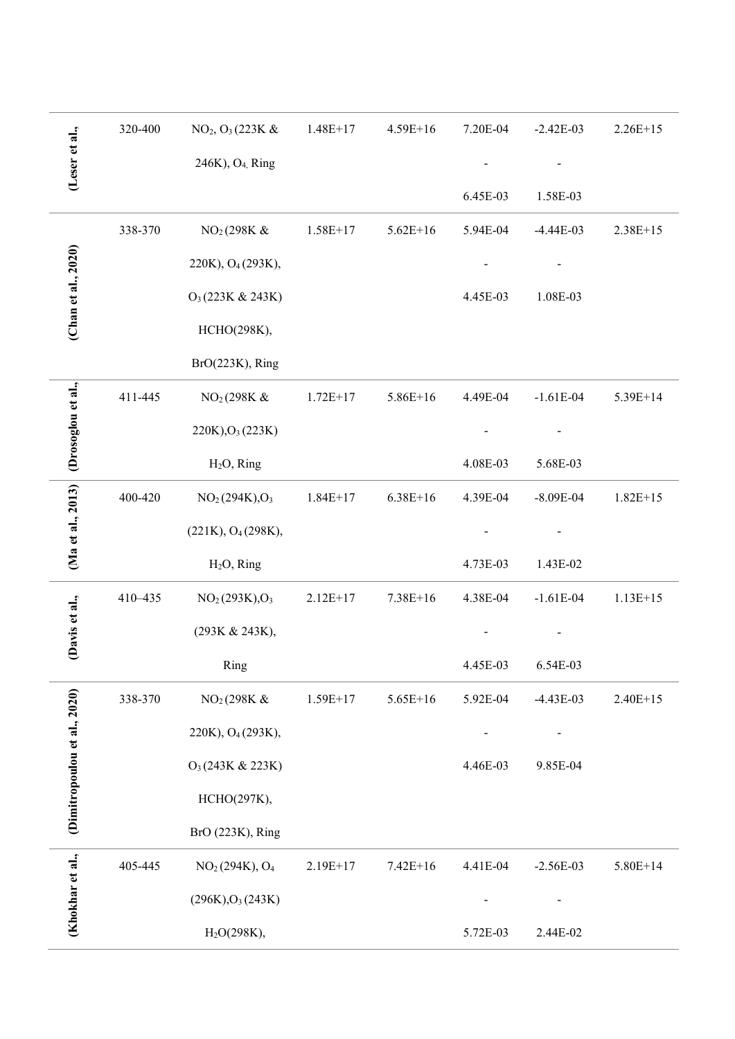|                              | 320-400 | $NO_2$ , $O_3$ (223K &                 | $1.48E+17$ | $4.59E + 16$ | 7.20E-04 | $-2.42E-03$ | $2.26E+15$ |
|------------------------------|---------|----------------------------------------|------------|--------------|----------|-------------|------------|
| (Leser et al.,               |         | 246K), O <sub>4,</sub> Ring            |            |              |          |             |            |
|                              |         |                                        |            |              | 6.45E-03 | 1.58E-03    |            |
|                              | 338-370 | NO <sub>2</sub> (298K &                | $1.58E+17$ | $5.62E+16$   | 5.94E-04 | $-4.44E-03$ | $2.38E+15$ |
| (Chan et al., 2020)          |         | 220K), O <sub>4</sub> (293K),          |            |              |          |             |            |
|                              |         | O <sub>3</sub> (223K & 243K)           |            |              | 4.45E-03 | 1.08E-03    |            |
|                              |         | НСНО(298К),                            |            |              |          |             |            |
|                              |         | $BrO(223K)$ , Ring                     |            |              |          |             |            |
| Drosoglou et al.,            | 411-445 | NO <sub>2</sub> (298K &                | $1.72E+17$ | $5.86E+16$   | 4.49E-04 | $-1.61E-04$ | 5.39E+14   |
|                              |         | $220K$ , $O_3(223K)$                   |            |              |          |             |            |
|                              |         | $H2O$ , Ring                           |            |              | 4.08E-03 | 5.68E-03    |            |
| (Ma et al., 2013)            | 400-420 | NO <sub>2</sub> (294K), O <sub>3</sub> | $1.84E+17$ | $6.38E+16$   | 4.39E-04 | $-8.09E-04$ | $1.82E+15$ |
|                              |         | (221K), O <sub>4</sub> (298K),         |            |              |          |             |            |
|                              |         | $H2O$ , Ring                           |            |              | 4.73E-03 | 1.43E-02    |            |
|                              | 410-435 | NO <sub>2</sub> (293K), O <sub>3</sub> | $2.12E+17$ | 7.38E+16     | 4.38E-04 | $-1.61E-04$ | $1.13E+15$ |
| Davis et al.,                |         | (293K & 243K),                         |            |              |          |             |            |
|                              |         | Ring                                   |            |              | 4.45E-03 | 6.54E-03    |            |
|                              | 338-370 | NO <sub>2</sub> (298K &                | $1.59E+17$ | $5.65E+16$   | 5.92E-04 | $-4.43E-03$ | $2.40E+15$ |
|                              |         | 220K), O <sub>4</sub> (293K),          |            |              |          |             |            |
|                              |         | O <sub>3</sub> (243K & 223K)           |            |              | 4.46E-03 | 9.85E-04    |            |
| (Dimitropoulou et al., 2020) |         | НСНО(297К),                            |            |              |          |             |            |
|                              |         | BrO (223K), Ring                       |            |              |          |             |            |
|                              | 405-445 | NO <sub>2</sub> (294K), O <sub>4</sub> | $2.19E+17$ | $7.42E+16$   | 4.41E-04 | $-2.56E-03$ | 5.80E+14   |
| (Khokhar et al.,             |         | (296K), O <sub>3</sub> (243K)          |            |              |          |             |            |
|                              |         | H <sub>2</sub> O(298K),                |            |              | 5.72E-03 | 2.44E-02    |            |